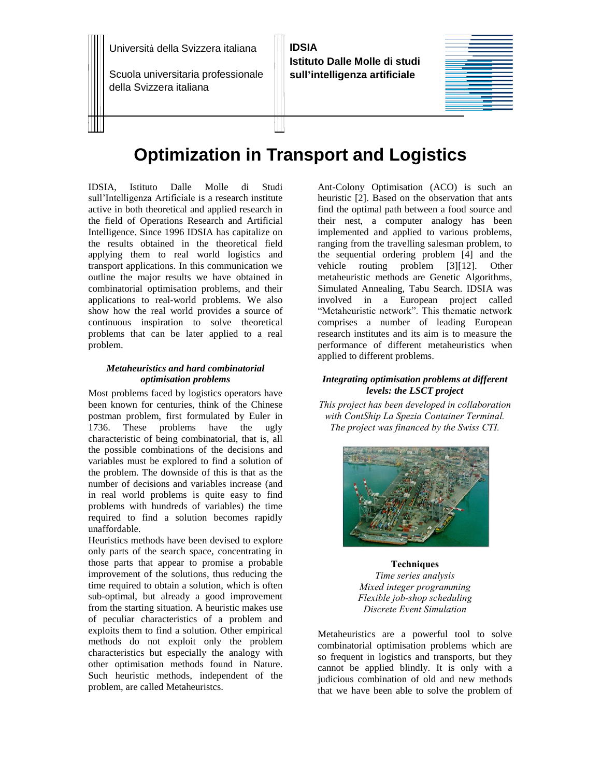Università della Svizzera italiana

Scuola universitaria professionale della Svizzera italiana

**IDSIA Istituto Dalle Molle di studi sull'intelligenza artificiale**

# **Optimization in Transport and Logistics**

IDSIA, Istituto Dalle Molle di Studi sull'Intelligenza Artificiale is a research institute active in both theoretical and applied research in the field of Operations Research and Artificial Intelligence. Since 1996 IDSIA has capitalize on the results obtained in the theoretical field applying them to real world logistics and transport applications. In this communication we outline the major results we have obtained in combinatorial optimisation problems, and their applications to real-world problems. We also show how the real world provides a source of continuous inspiration to solve theoretical problems that can be later applied to a real problem.

## *Metaheuristics and hard combinatorial optimisation problems*

Most problems faced by logistics operators have been known for centuries, think of the Chinese postman problem, first formulated by Euler in 1736. These problems have the ugly characteristic of being combinatorial, that is, all the possible combinations of the decisions and variables must be explored to find a solution of the problem. The downside of this is that as the number of decisions and variables increase (and in real world problems is quite easy to find problems with hundreds of variables) the time required to find a solution becomes rapidly unaffordable.

Heuristics methods have been devised to explore only parts of the search space, concentrating in those parts that appear to promise a probable improvement of the solutions, thus reducing the time required to obtain a solution, which is often sub-optimal, but already a good improvement from the starting situation. A heuristic makes use of peculiar characteristics of a problem and exploits them to find a solution. Other empirical methods do not exploit only the problem characteristics but especially the analogy with other optimisation methods found in Nature. Such heuristic methods, independent of the problem, are called Metaheuristcs.

Ant-Colony Optimisation (ACO) is such an heuristic [2]. Based on the observation that ants find the optimal path between a food source and their nest, a computer analogy has been implemented and applied to various problems, ranging from the travelling salesman problem, to the sequential ordering problem [4] and the vehicle routing problem [3][12]. Other metaheuristic methods are Genetic Algorithms, Simulated Annealing, Tabu Search. IDSIA was involved in a European project called "Metaheuristic network". This thematic network comprises a number of leading European research institutes and its aim is to measure the performance of different metaheuristics when applied to different problems.

# *Integrating optimisation problems at different levels: the LSCT project*

*This project has been developed in collaboration with ContShip La Spezia Container Terminal. The project was financed by the Swiss CTI.*



### **Techniques**

*Time series analysis Mixed integer programming Flexible job-shop scheduling Discrete Event Simulation*

Metaheuristics are a powerful tool to solve combinatorial optimisation problems which are so frequent in logistics and transports, but they cannot be applied blindly. It is only with a judicious combination of old and new methods that we have been able to solve the problem of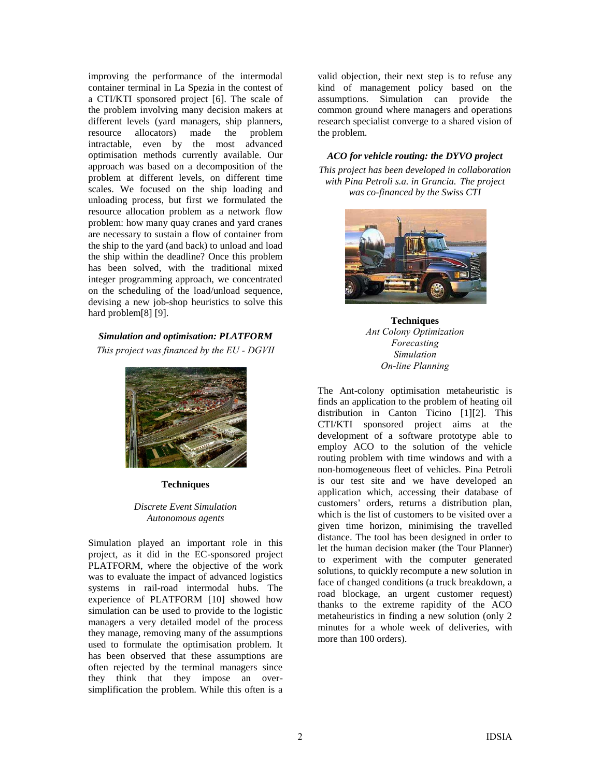improving the performance of the intermodal container terminal in La Spezia in the contest of a CTI/KTI sponsored project [6]. The scale of the problem involving many decision makers at different levels (yard managers, ship planners, resource allocators) made the problem intractable, even by the most advanced optimisation methods currently available. Our approach was based on a decomposition of the problem at different levels, on different time scales. We focused on the ship loading and unloading process, but first we formulated the resource allocation problem as a network flow problem: how many quay cranes and yard cranes are necessary to sustain a flow of container from the ship to the yard (and back) to unload and load the ship within the deadline? Once this problem has been solved, with the traditional mixed integer programming approach, we concentrated on the scheduling of the load/unload sequence, devising a new job-shop heuristics to solve this hard problem[8] [9].

# *Simulation and optimisation: PLATFORM*

*This project was financed by the EU - DGVII* 



## **Techniques**

# *Discrete Event Simulation Autonomous agents*

Simulation played an important role in this project, as it did in the EC-sponsored project PLATFORM, where the objective of the work was to evaluate the impact of advanced logistics systems in rail-road intermodal hubs. The experience of PLATFORM [10] showed how simulation can be used to provide to the logistic managers a very detailed model of the process they manage, removing many of the assumptions used to formulate the optimisation problem. It has been observed that these assumptions are often rejected by the terminal managers since they think that they impose an oversimplification the problem. While this often is a

valid objection, their next step is to refuse any kind of management policy based on the assumptions. Simulation can provide the common ground where managers and operations research specialist converge to a shared vision of the problem.

# *ACO for vehicle routing: the DYVO project This project has been developed in collaboration with Pina Petroli s.a. in Grancia. The project*

*was co-financed by the Swiss CTI*



**Techniques** *Ant Colony Optimization Forecasting Simulation On-line Planning*

The Ant-colony optimisation metaheuristic is finds an application to the problem of heating oil distribution in Canton Ticino [1][2]. This CTI/KTI sponsored project aims at the development of a software prototype able to employ ACO to the solution of the vehicle routing problem with time windows and with a non-homogeneous fleet of vehicles. Pina Petroli is our test site and we have developed an application which, accessing their database of customers' orders, returns a distribution plan, which is the list of customers to be visited over a given time horizon, minimising the travelled distance. The tool has been designed in order to let the human decision maker (the Tour Planner) to experiment with the computer generated solutions, to quickly recompute a new solution in face of changed conditions (a truck breakdown, a road blockage, an urgent customer request) thanks to the extreme rapidity of the ACO metaheuristics in finding a new solution (only 2 minutes for a whole week of deliveries, with more than 100 orders).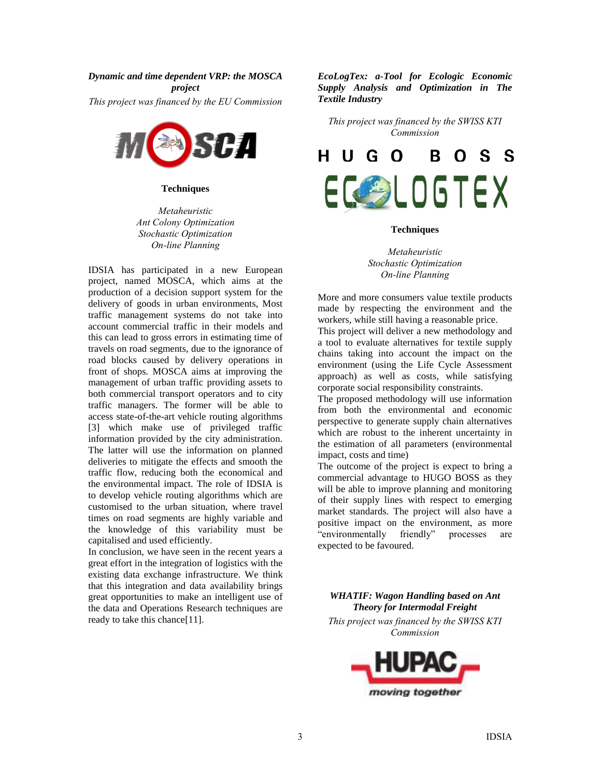#### *Dynamic and time dependent VRP: the MOSCA*

*project This project was financed by the EU Commission* 



**Techniques**

*Metaheuristic Ant Colony Optimization Stochastic Optimization On-line Planning*

IDSIA has participated in a new European project, named MOSCA, which aims at the production of a decision support system for the delivery of goods in urban environments, Most traffic management systems do not take into account commercial traffic in their models and this can lead to gross errors in estimating time of travels on road segments, due to the ignorance of road blocks caused by delivery operations in front of shops. MOSCA aims at improving the management of urban traffic providing assets to both commercial transport operators and to city traffic managers. The former will be able to access state-of-the-art vehicle routing algorithms [3] which make use of privileged traffic information provided by the city administration. The latter will use the information on planned deliveries to mitigate the effects and smooth the traffic flow, reducing both the economical and the environmental impact. The role of IDSIA is to develop vehicle routing algorithms which are customised to the urban situation, where travel times on road segments are highly variable and the knowledge of this variability must be capitalised and used efficiently.

In conclusion, we have seen in the recent years a great effort in the integration of logistics with the existing data exchange infrastructure. We think that this integration and data availability brings great opportunities to make an intelligent use of the data and Operations Research techniques are ready to take this chance[11].

*EcoLogTex: a-Tool for Ecologic Economic Supply Analysis and Optimization in The Textile Industry*

*This project was financed by the SWISS KTI Commission* 



#### **Techniques**

*Metaheuristic Stochastic Optimization On-line Planning*

More and more consumers value textile products made by respecting the environment and the workers, while still having a reasonable price. This project will deliver a new methodology and

a tool to evaluate alternatives for textile supply chains taking into account the impact on the environment (using the Life Cycle Assessment approach) as well as costs, while satisfying corporate social responsibility constraints.

The proposed methodology will use information from both the environmental and economic perspective to generate supply chain alternatives which are robust to the inherent uncertainty in the estimation of all parameters (environmental impact, costs and time)

The outcome of the project is expect to bring a commercial advantage to HUGO BOSS as they will be able to improve planning and monitoring of their supply lines with respect to emerging market standards. The project will also have a positive impact on the environment, as more "environmentally friendly" processes are expected to be favoured.

*WHATIF: Wagon Handling based on Ant Theory for Intermodal Freight This project was financed by the SWISS KTI* 

*Commission* 

moving together